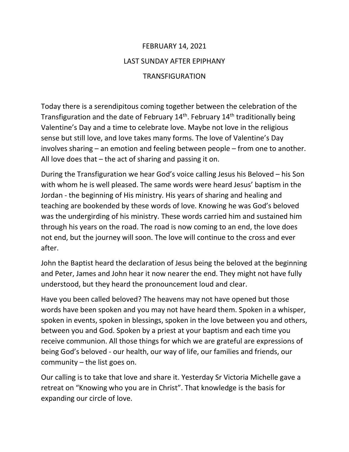## FEBRUARY 14, 2021 LAST SUNDAY AFTER EPIPHANY TRANSFIGURATION

Today there is a serendipitous coming together between the celebration of the Transfiguration and the date of February  $14<sup>th</sup>$ . February  $14<sup>th</sup>$  traditionally being Valentine's Day and a time to celebrate love. Maybe not love in the religious sense but still love, and love takes many forms. The love of Valentine's Day involves sharing – an emotion and feeling between people – from one to another. All love does that – the act of sharing and passing it on.

During the Transfiguration we hear God's voice calling Jesus his Beloved – his Son with whom he is well pleased. The same words were heard Jesus' baptism in the Jordan - the beginning of His ministry. His years of sharing and healing and teaching are bookended by these words of love. Knowing he was God's beloved was the undergirding of his ministry. These words carried him and sustained him through his years on the road. The road is now coming to an end, the love does not end, but the journey will soon. The love will continue to the cross and ever after.

John the Baptist heard the declaration of Jesus being the beloved at the beginning and Peter, James and John hear it now nearer the end. They might not have fully understood, but they heard the pronouncement loud and clear.

Have you been called beloved? The heavens may not have opened but those words have been spoken and you may not have heard them. Spoken in a whisper, spoken in events, spoken in blessings, spoken in the love between you and others, between you and God. Spoken by a priest at your baptism and each time you receive communion. All those things for which we are grateful are expressions of being God's beloved - our health, our way of life, our families and friends, our community – the list goes on.

Our calling is to take that love and share it. Yesterday Sr Victoria Michelle gave a retreat on "Knowing who you are in Christ". That knowledge is the basis for expanding our circle of love.